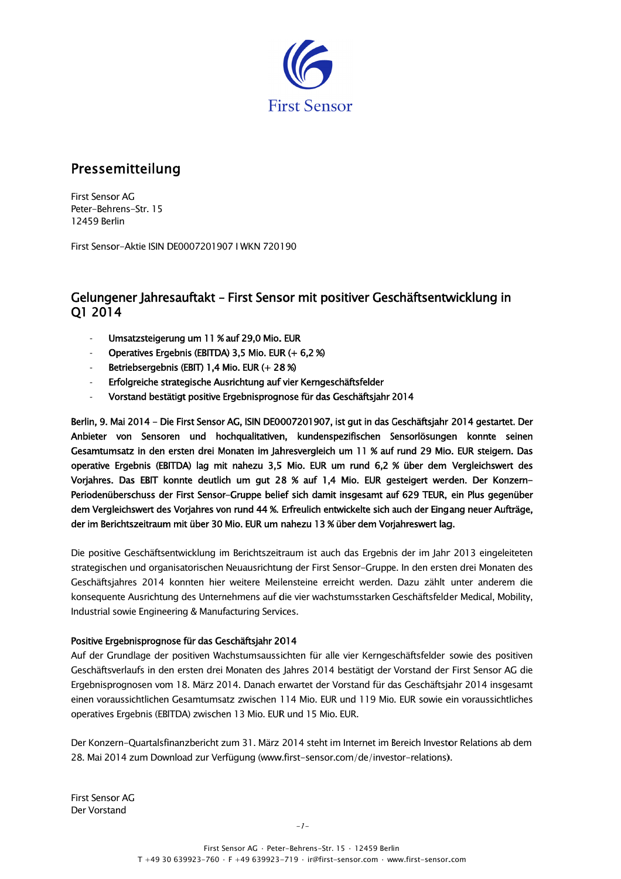

# Pressemitteilung

**First Sensor AG** Peter-Behrens-Str. 15 12459 Berlin

First Sensor-Aktie ISIN DF0007201907 LWKN 720190

## Gelungener Jahresauftakt - First Sensor mit positiver Geschäftsentwicklung in O1 2014

- Umsatzsteigerung um 11 % auf 29,0 Mio. EUR
- Operatives Ergebnis (EBITDA) 3,5 Mio. EUR (+ 6,2 %)
- Betriebsergebnis (EBIT) 1,4 Mio. EUR (+ 28 %)
- Erfolgreiche strategische Ausrichtung auf vier Kerngeschäftsfelder
- Vorstand bestätigt positive Ergebnisprognose für das Geschäftsjahr 2014

Berlin, 9. Mai 2014 - Die First Sensor AG, ISIN DE0007201907, ist qut in das Geschäftsiahr 2014 gestartet. Der Anbieter von Sensoren und hochqualitativen, kundenspezifischen Sensorlösungen konnte seinen Gesamtumsatz in den ersten drei Monaten im Jahresvergleich um 11 % auf rund 29 Mio. EUR steigern. Das operative Ergebnis (EBITDA) lag mit nahezu 3.5 Mio. EUR um rund 6.2 % über dem Vergleichswert des Vorjahres. Das EBIT konnte deutlich um qut 28 % auf 1,4 Mio. EUR gesteigert werden. Der Konzern-Periodenüberschuss der First Sensor-Gruppe belief sich damit insgesamt auf 629 TEUR, ein Plus gegenüber dem Vergleichswert des Voriahres von rund 44 %. Erfreulich entwickelte sich auch der Eingang neuer Aufträge. der im Berichtszeitraum mit über 30 Mio. EUR um nahezu 13 % über dem Vorjahreswert lag.

Die positive Geschäftsentwicklung im Berichtszeitraum ist auch das Ergebnis der im Jahr 2013 eingeleiteten strategischen und organisatorischen Neuausrichtung der First Sensor-Gruppe. In den ersten drei Monaten des Geschäftsjahres 2014 konnten hier weitere Meilensteine erreicht werden. Dazu zählt unter anderem die konsequente Ausrichtung des Unternehmens auf die vier wachstumsstarken Geschäftsfelder Medical, Mobility, Industrial sowie Engineering & Manufacturing Services.

### Positive Ergebnisprognose für das Geschäftsjahr 2014

Auf der Grundlage der positiven Wachstumsaussichten für alle vier Kerngeschäftsfelder sowie des positiven Geschäftsverlaufs in den ersten drei Monaten des Jahres 2014 bestätigt der Vorstand der First Sensor AG die Ergebnisprognosen vom 18. März 2014. Danach erwartet der Vorstand für das Geschäftsjahr 2014 insgesamt einen voraussichtlichen Gesamtumsatz zwischen 114 Mio. EUR und 119 Mio. EUR sowie ein voraussichtliches operatives Ergebnis (EBITDA) zwischen 13 Mio. EUR und 15 Mio. EUR.

Der Konzern-Quartalsfinanzbericht zum 31. März 2014 steht im Internet im Bereich Investor Relations ab dem 28. Mai 2014 zum Download zur Verfügung (www.first-sensor.com/de/investor-relations).

First Sensor AG Der Vorstand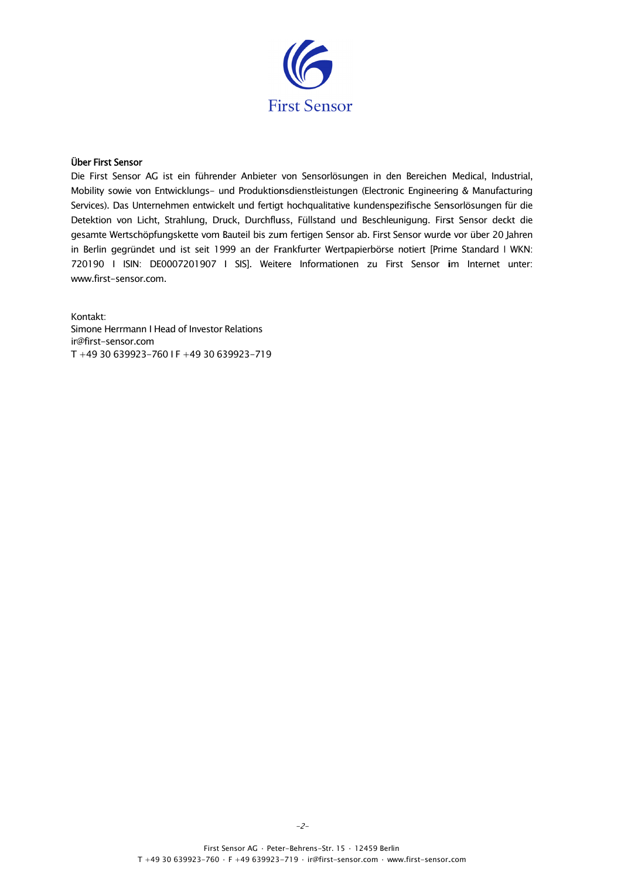

#### Über First Sensor

Die First Sensor AG ist ein führender Anbieter von Sensorlösungen in den Bereichen Medical, Industrial, Mobility sowie von Entwicklungs- und Produktionsdienstleistungen (Electronic Engineering & Manufacturing Services). Das Unternehmen entwickelt und fertigt hochqualitative kundenspezifische Sensorlösungen für die Detektion von Licht, Strahlung, Druck, Durchfluss, Füllstand und Beschleunigung. First Sensor deckt die gesamte Wertschöpfungskette vom Bauteil bis zum fertigen Sensor ab. First Sensor wurde vor über 20 Jahren in Berlin gegründet und ist seit 1999 an der Frankfurter Wertpapierbörse notiert [Prime Standard I WKN: 720190 | ISIN: DE0007201907 | SIS]. Weitere Informationen zu First Sensor im Internet unter: www.first-sensor.com.

Kontakt: Simone Herrmann I Head of Investor Relations ir@first-sensor.com T+49 30 639923-760 IF+49 30 639923-719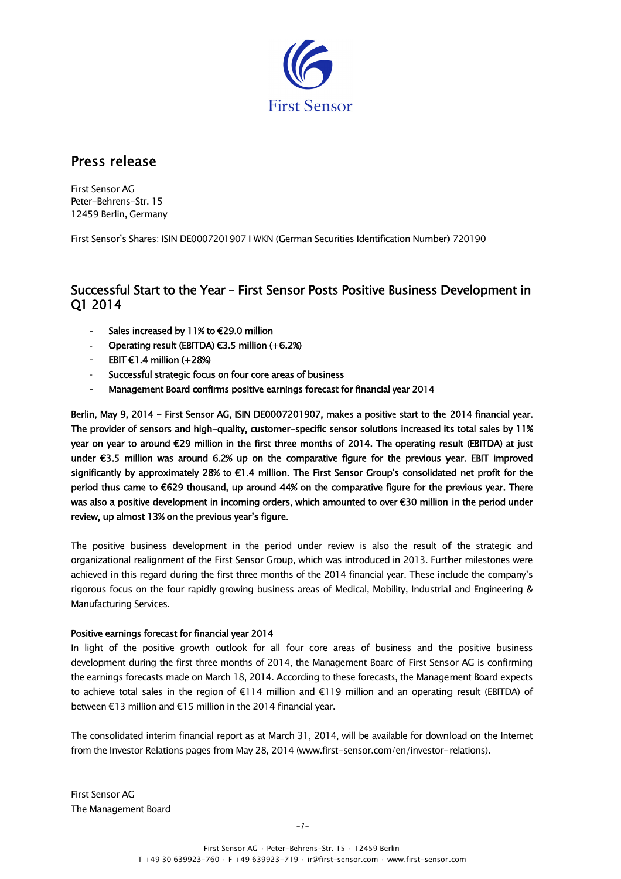

# Press release

**First Sensor AG** Peter-Behrens-Str. 15 12459 Berlin, Germany

First Sensor's Shares: ISIN DE0007201907 I WKN (German Securities Identification Number) 720190

## Successful Start to the Year – First Sensor Posts Positive Business Development in O1 2014

- Sales increased by 11% to €29.0 million
- Operating result (EBITDA) €3.5 million  $(+6.2%)$
- EBIT  $E1.4$  million (+28%)
- Successful strategic focus on four core areas of business
- Management Board confirms positive earnings forecast for financial year 2014

Berlin, May 9, 2014 - First Sensor AG, ISIN DE0007201907, makes a positive start to the 2014 financial year. The provider of sensors and high-quality, customer-specific sensor solutions increased its total sales by 11% year on year to around €29 million in the first three months of 2014. The operating result (EBITDA) at just under €3.5 million was around 6.2% up on the comparative figure for the previous year. EBIT improved significantly by approximately 28% to €1.4 million. The First Sensor Group's consolidated net profit for the period thus came to €629 thousand, up around 44% on the comparative figure for the previous year. There was also a positive development in incoming orders, which amounted to over €30 million in the period under review, up almost 13% on the previous year's figure.

The positive business development in the period under review is also the result of the strategic and organizational realignment of the First Sensor Group, which was introduced in 2013. Further milestones were achieved in this regard during the first three months of the 2014 financial year. These include the company's rigorous focus on the four rapidly growing business areas of Medical, Mobility, Industrial and Engineering & Manufacturing Services.

#### Positive earnings forecast for financial year 2014

In light of the positive growth outlook for all four core areas of business and the positive business development during the first three months of 2014, the Management Board of First Sensor AG is confirming the earnings forecasts made on March 18, 2014. According to these forecasts, the Management Board expects to achieve total sales in the region of  $\epsilon$ 114 million and  $\epsilon$ 119 million and an operating result (EBITDA) of between €13 million and €15 million in the 2014 financial year.

The consolidated interim financial report as at March 31, 2014, will be available for download on the Internet from the Investor Relations pages from May 28, 2014 (www.first-sensor.com/en/investor-relations).

**First Sensor AG** The Management Board